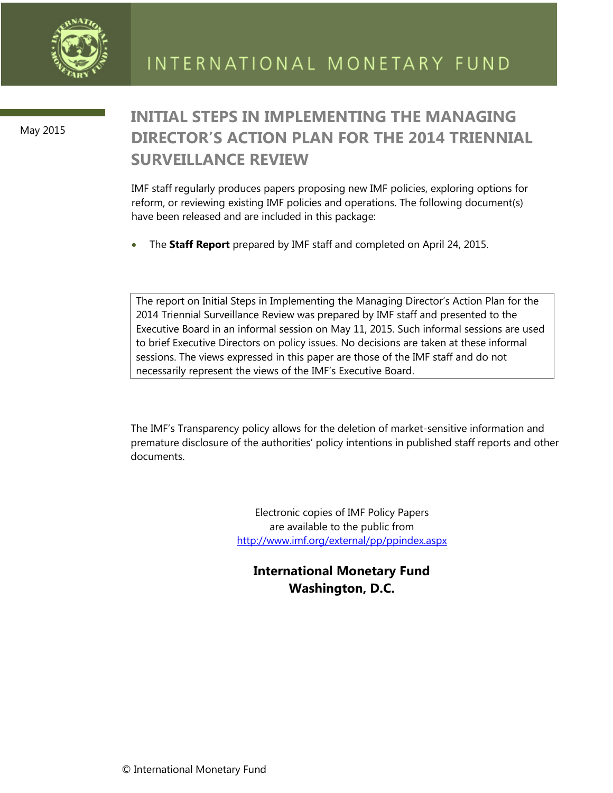

May 2015

# **INITIAL STEPS IN IMPLEMENTING THE MANAGING DIRECTOR'S ACTION PLAN FOR THE 2014 TRIENNIAL SURVEILLANCE REVIEW**

IMF staff regularly produces papers proposing new IMF policies, exploring options for reform, or reviewing existing IMF policies and operations. The following document(s) have been released and are included in this package:

The **Staff Report** prepared by IMF staff and completed on April 24, 2015.

The report on Initial Steps in Implementing the Managing Director's Action Plan for the 2014 Triennial Surveillance Review was prepared by IMF staff and presented to the Executive Board in an informal session on May 11, 2015. Such informal sessions are used to brief Executive Directors on policy issues. No decisions are taken at these informal sessions. The views expressed in this paper are those of the IMF staff and do not necessarily represent the views of the IMF's Executive Board.

The IMF's Transparency policy allows for the deletion of market-sensitive information and premature disclosure of the authorities' policy intentions in published staff reports and other documents.

> Electronic copies of IMF Policy Papers are available to the public from <http://www.imf.org/external/pp/ppindex.aspx>

**International Monetary Fund Washington, D.C.**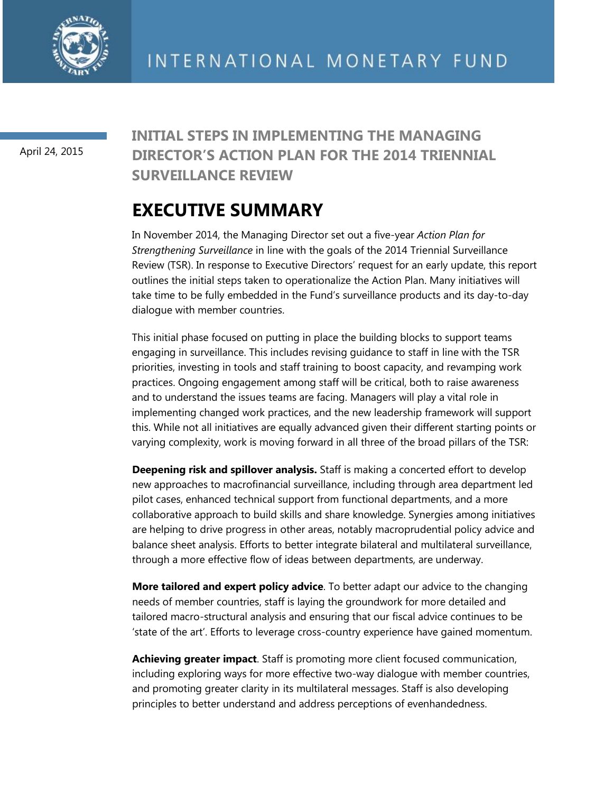

April 24, 2015

## **INITIAL STEPS IN IMPLEMENTING THE MANAGING DIRECTOR'S ACTION PLAN FOR THE 2014 TRIENNIAL SURVEILLANCE REVIEW**

# **EXECUTIVE SUMMARY**

In November 2014, the Managing Director set out a five-year *Action Plan for Strengthening Surveillance* in line with the goals of the 2014 Triennial Surveillance Review (TSR). In response to Executive Directors' request for an early update, this report outlines the initial steps taken to operationalize the Action Plan. Many initiatives will take time to be fully embedded in the Fund's surveillance products and its day-to-day dialogue with member countries.

This initial phase focused on putting in place the building blocks to support teams engaging in surveillance. This includes revising guidance to staff in line with the TSR priorities, investing in tools and staff training to boost capacity, and revamping work practices. Ongoing engagement among staff will be critical, both to raise awareness and to understand the issues teams are facing. Managers will play a vital role in implementing changed work practices, and the new leadership framework will support this. While not all initiatives are equally advanced given their different starting points or varying complexity, work is moving forward in all three of the broad pillars of the TSR:

**Deepening risk and spillover analysis.** Staff is making a concerted effort to develop new approaches to macrofinancial surveillance, including through area department led pilot cases, enhanced technical support from functional departments, and a more collaborative approach to build skills and share knowledge. Synergies among initiatives are helping to drive progress in other areas, notably macroprudential policy advice and balance sheet analysis. Efforts to better integrate bilateral and multilateral surveillance, through a more effective flow of ideas between departments, are underway.

**More tailored and expert policy advice**. To better adapt our advice to the changing needs of member countries, staff is laying the groundwork for more detailed and tailored macro-structural analysis and ensuring that our fiscal advice continues to be 'state of the art'. Efforts to leverage cross-country experience have gained momentum.

**Achieving greater impact**. Staff is promoting more client focused communication, including exploring ways for more effective two-way dialogue with member countries, and promoting greater clarity in its multilateral messages. Staff is also developing principles to better understand and address perceptions of evenhandedness.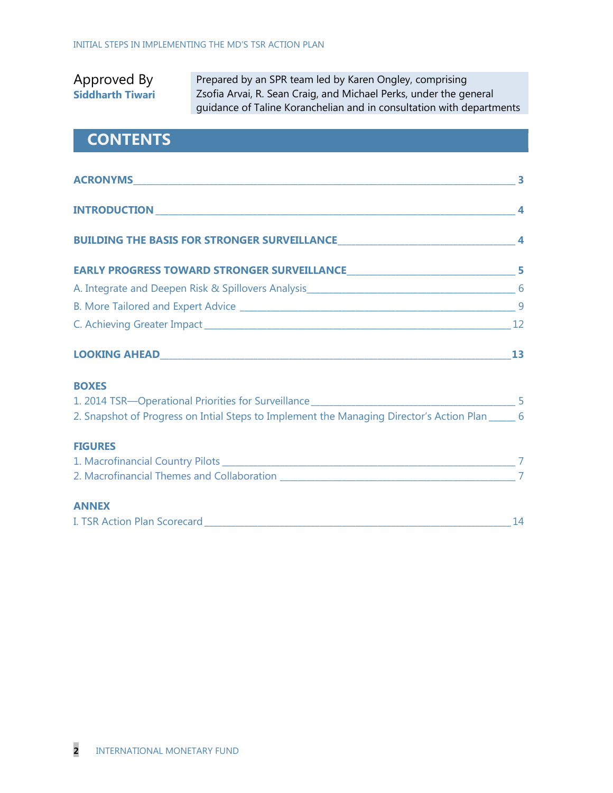### Approved By **Siddharth Tiwari**

Prepared by an SPR team led by Karen Ongley, comprising Zsofia Arvai, R. Sean Craig, and Michael Perks, under the general guidance of Taline Koranchelian and in consultation with departments

## **CONTENTS**

| <b>BOXES</b>                                                                                     |  |
|--------------------------------------------------------------------------------------------------|--|
|                                                                                                  |  |
| 2. Snapshot of Progress on Intial Steps to Implement the Managing Director's Action Plan _____ 6 |  |
| <b>FIGURES</b>                                                                                   |  |
|                                                                                                  |  |
|                                                                                                  |  |
| <b>ANNEX</b>                                                                                     |  |

| I. TSR Action Plan Scorecard |  |
|------------------------------|--|
|------------------------------|--|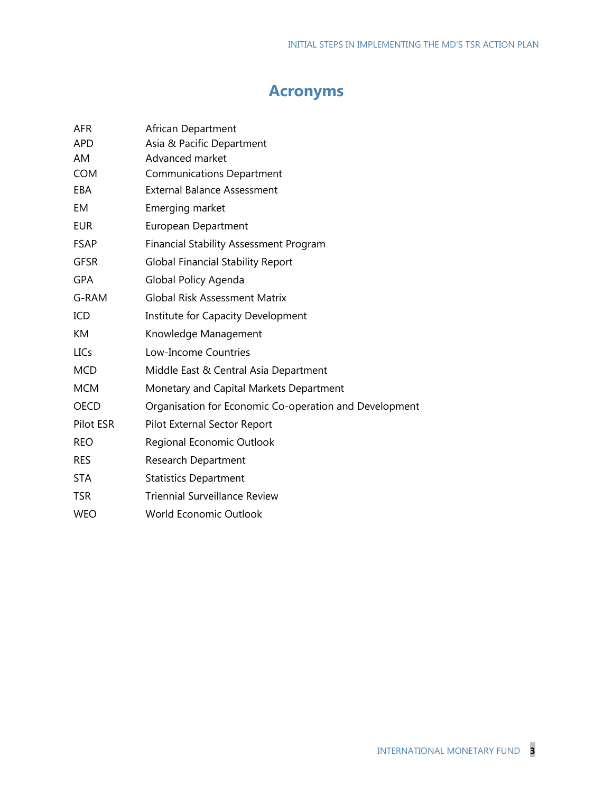## **Acronyms**

| AFR         | African Department                                     |
|-------------|--------------------------------------------------------|
| <b>APD</b>  | Asia & Pacific Department                              |
| AM          | Advanced market                                        |
| <b>COM</b>  | <b>Communications Department</b>                       |
| EBA         | <b>External Balance Assessment</b>                     |
| EM          | Emerging market                                        |
| <b>EUR</b>  | <b>European Department</b>                             |
| <b>FSAP</b> | <b>Financial Stability Assessment Program</b>          |
| <b>GFSR</b> | <b>Global Financial Stability Report</b>               |
| <b>GPA</b>  | Global Policy Agenda                                   |
| G-RAM       | <b>Global Risk Assessment Matrix</b>                   |
| ICD         | Institute for Capacity Development                     |
| KM          | Knowledge Management                                   |
| <b>LICs</b> | Low-Income Countries                                   |
| <b>MCD</b>  | Middle East & Central Asia Department                  |
| <b>MCM</b>  | Monetary and Capital Markets Department                |
| <b>OECD</b> | Organisation for Economic Co-operation and Development |
| Pilot ESR   | Pilot External Sector Report                           |
| <b>REO</b>  | Regional Economic Outlook                              |
| <b>RES</b>  | <b>Research Department</b>                             |
| <b>STA</b>  | <b>Statistics Department</b>                           |
| <b>TSR</b>  | <b>Triennial Surveillance Review</b>                   |
| <b>WEO</b>  | <b>World Economic Outlook</b>                          |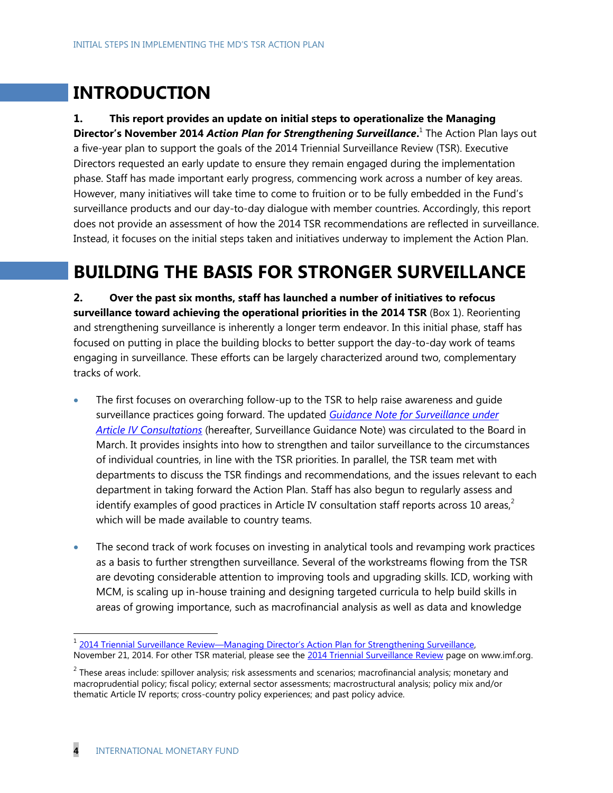# **INTRODUCTION**

**1. This report provides an update on initial steps to operationalize the Managing Director's November 2014** *Action Plan for Strengthening Surveillance***.** 1 The Action Plan lays out a five-year plan to support the goals of the 2014 Triennial Surveillance Review (TSR). Executive Directors requested an early update to ensure they remain engaged during the implementation phase. Staff has made important early progress, commencing work across a number of key areas. However, many initiatives will take time to come to fruition or to be fully embedded in the Fund's surveillance products and our day-to-day dialogue with member countries. Accordingly, this report does not provide an assessment of how the 2014 TSR recommendations are reflected in surveillance. Instead, it focuses on the initial steps taken and initiatives underway to implement the Action Plan.

# **BUILDING THE BASIS FOR STRONGER SURVEILLANCE**

**2. Over the past six months, staff has launched a number of initiatives to refocus surveillance toward achieving the operational priorities in the 2014 TSR** (Box 1). Reorienting and strengthening surveillance is inherently a longer term endeavor. In this initial phase, staff has focused on putting in place the building blocks to better support the day-to-day work of teams engaging in surveillance. These efforts can be largely characterized around two, complementary tracks of work.

- The first focuses on overarching follow-up to the TSR to help raise awareness and guide surveillance practices going forward. The updated *[Guidance Note for Surveillance under](http://www.imf.org/external/np/pp/eng/2015/031915.pdf)  Article [IV Consultations](http://www.imf.org/external/np/pp/eng/2015/031915.pdf)* (hereafter, Surveillance Guidance Note) was circulated to the Board in March. It provides insights into how to strengthen and tailor surveillance to the circumstances of individual countries, in line with the TSR priorities. In parallel, the TSR team met with departments to discuss the TSR findings and recommendations, and the issues relevant to each department in taking forward the Action Plan. Staff has also begun to regularly assess and identify examples of good practices in Article IV consultation staff reports across 10 areas, $^2$ which will be made available to country teams.
- The second track of work focuses on investing in analytical tools and revamping work practices as a basis to further strengthen surveillance. Several of the workstreams flowing from the TSR are devoting considerable attention to improving tools and upgrading skills. ICD, working with MCM, is scaling up in-house training and designing targeted curricula to help build skills in areas of growing importance, such as macrofinancial analysis as well as data and knowledge

 $\overline{a}$ 

<sup>&</sup>lt;sup>1</sup> 2014 Triennial Surveillance Review[—Managing Director's Action Plan for Strengthening Surveillance](http://www.imf.org/external/np/pp/eng/2014/112114.pdf), November 21, 2014. For other TSR material, please see the [2014 Triennial Surveillance Review](http://www.imf.org/external/np/spr/triennial/2014/index.htm) page on www.imf.org.

 $^2$  These areas include: spillover analysis; risk assessments and scenarios; macrofinancial analysis; monetary and macroprudential policy; fiscal policy; external sector assessments; macrostructural analysis; policy mix and/or thematic Article IV reports; cross-country policy experiences; and past policy advice.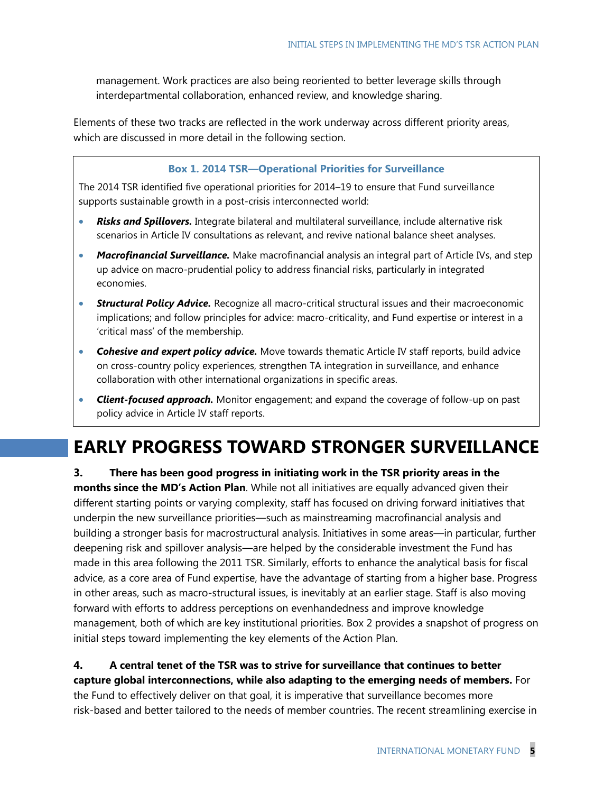management. Work practices are also being reoriented to better leverage skills through interdepartmental collaboration, enhanced review, and knowledge sharing.

Elements of these two tracks are reflected in the work underway across different priority areas, which are discussed in more detail in the following section.

#### **Box 1. 2014 TSR—Operational Priorities for Surveillance**

The 2014 TSR identified five operational priorities for 2014–19 to ensure that Fund surveillance supports sustainable growth in a post-crisis interconnected world:

- *Risks and Spillovers.* Integrate bilateral and multilateral surveillance, include alternative risk scenarios in Article IV consultations as relevant, and revive national balance sheet analyses.
- *Macrofinancial Surveillance.* Make macrofinancial analysis an integral part of Article IVs, and step up advice on macro-prudential policy to address financial risks, particularly in integrated economies.
- **Structural Policy Advice.** Recognize all macro-critical structural issues and their macroeconomic implications; and follow principles for advice: macro-criticality, and Fund expertise or interest in a 'critical mass' of the membership.
- *Cohesive and expert policy advice.* Move towards thematic Article IV staff reports, build advice on cross-country policy experiences, strengthen TA integration in surveillance, and enhance collaboration with other international organizations in specific areas.
- *Client-focused approach.* Monitor engagement; and expand the coverage of follow-up on past policy advice in Article IV staff reports.

## **EARLY PROGRESS TOWARD STRONGER SURVEILLANCE**

**3. There has been good progress in initiating work in the TSR priority areas in the months since the MD's Action Plan**. While not all initiatives are equally advanced given their different starting points or varying complexity, staff has focused on driving forward initiatives that underpin the new surveillance priorities—such as mainstreaming macrofinancial analysis and building a stronger basis for macrostructural analysis. Initiatives in some areas—in particular, further deepening risk and spillover analysis—are helped by the considerable investment the Fund has made in this area following the 2011 TSR. Similarly, efforts to enhance the analytical basis for fiscal advice, as a core area of Fund expertise, have the advantage of starting from a higher base. Progress in other areas, such as macro-structural issues, is inevitably at an earlier stage. Staff is also moving forward with efforts to address perceptions on evenhandedness and improve knowledge management, both of which are key institutional priorities. Box 2 provides a snapshot of progress on initial steps toward implementing the key elements of the Action Plan.

### **4. A central tenet of the TSR was to strive for surveillance that continues to better capture global interconnections, while also adapting to the emerging needs of members.** For

the Fund to effectively deliver on that goal, it is imperative that surveillance becomes more risk-based and better tailored to the needs of member countries. The recent streamlining exercise in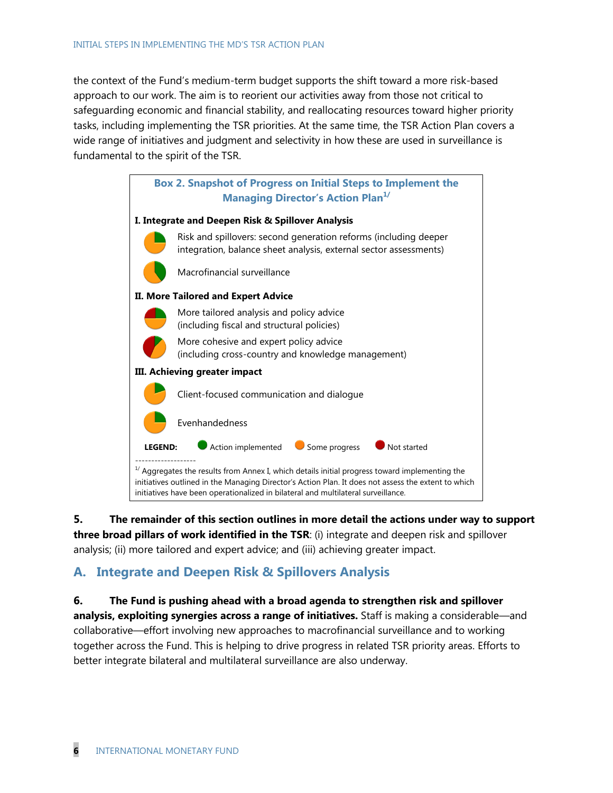the context of the Fund's medium-term budget supports the shift toward a more risk-based approach to our work. The aim is to reorient our activities away from those not critical to safeguarding economic and financial stability, and reallocating resources toward higher priority tasks, including implementing the TSR priorities. At the same time, the TSR Action Plan covers a wide range of initiatives and judgment and selectivity in how these are used in surveillance is fundamental to the spirit of the TSR.



**5. The remainder of this section outlines in more detail the actions under way to support three broad pillars of work identified in the TSR**: (i) integrate and deepen risk and spillover analysis; (ii) more tailored and expert advice; and (iii) achieving greater impact.

### **A. Integrate and Deepen Risk & Spillovers Analysis**

**6. The Fund is pushing ahead with a broad agenda to strengthen risk and spillover analysis, exploiting synergies across a range of initiatives.** Staff is making a considerable—and collaborative—effort involving new approaches to macrofinancial surveillance and to working together across the Fund. This is helping to drive progress in related TSR priority areas. Efforts to better integrate bilateral and multilateral surveillance are also underway.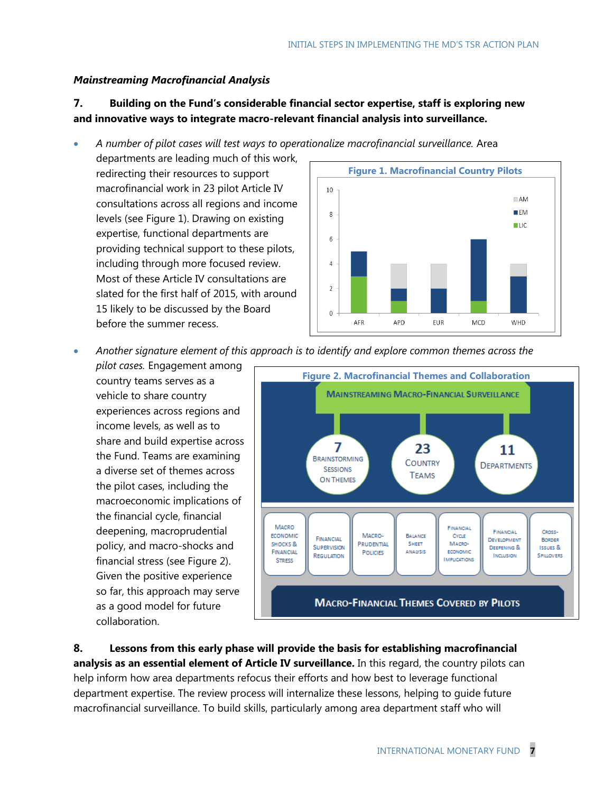### *Mainstreaming Macrofinancial Analysis*

### **7. Building on the Fund's considerable financial sector expertise, staff is exploring new and innovative ways to integrate macro-relevant financial analysis into surveillance.**

*A number of pilot cases will test ways to operationalize macrofinancial surveillance.* Area

departments are leading much of this work, redirecting their resources to support macrofinancial work in 23 pilot Article IV consultations across all regions and income levels (see Figure 1). Drawing on existing expertise, functional departments are providing technical support to these pilots, including through more focused review. Most of these Article IV consultations are slated for the first half of 2015, with around 15 likely to be discussed by the Board before the summer recess.



*Another signature element of this approach is to identify and explore common themes across the* 

*pilot cases.* Engagement among country teams serves as a vehicle to share country experiences across regions and income levels, as well as to share and build expertise across the Fund. Teams are examining a diverse set of themes across the pilot cases, including the macroeconomic implications of the financial cycle, financial deepening, macroprudential policy, and macro-shocks and financial stress (see Figure 2). Given the positive experience so far, this approach may serve as a good model for future collaboration.



**8. Lessons from this early phase will provide the basis for establishing macrofinancial analysis as an essential element of Article IV surveillance.** In this regard, the country pilots can help inform how area departments refocus their efforts and how best to leverage functional department expertise. The review process will internalize these lessons, helping to guide future macrofinancial surveillance. To build skills, particularly among area department staff who will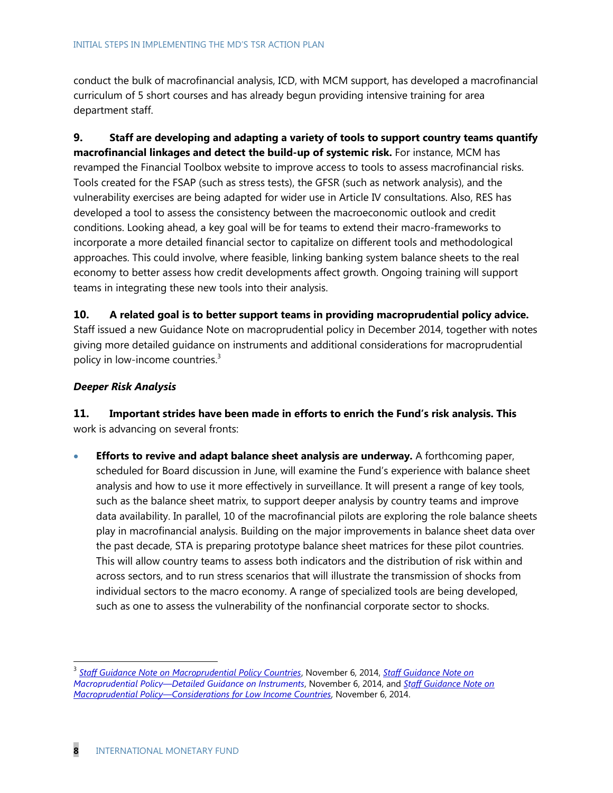conduct the bulk of macrofinancial analysis, ICD, with MCM support, has developed a macrofinancial curriculum of 5 short courses and has already begun providing intensive training for area department staff.

**9. Staff are developing and adapting a variety of tools to support country teams quantify macrofinancial linkages and detect the build-up of systemic risk.** For instance, MCM has revamped the Financial Toolbox website to improve access to tools to assess macrofinancial risks. Tools created for the FSAP (such as stress tests), the GFSR (such as network analysis), and the vulnerability exercises are being adapted for wider use in Article IV consultations. Also, RES has developed a tool to assess the consistency between the macroeconomic outlook and credit conditions. Looking ahead, a key goal will be for teams to extend their macro-frameworks to incorporate a more detailed financial sector to capitalize on different tools and methodological approaches. This could involve, where feasible, linking banking system balance sheets to the real economy to better assess how credit developments affect growth. Ongoing training will support teams in integrating these new tools into their analysis.

**10. A related goal is to better support teams in providing macroprudential policy advice.** Staff issued a new Guidance Note on macroprudential policy in December 2014, together with notes giving more detailed guidance on instruments and additional considerations for macroprudential policy in low-income countries.<sup>3</sup>

#### *Deeper Risk Analysis*

**11. Important strides have been made in efforts to enrich the Fund's risk analysis. This** work is advancing on several fronts:

 **Efforts to revive and adapt balance sheet analysis are underway.** A forthcoming paper, scheduled for Board discussion in June, will examine the Fund's experience with balance sheet analysis and how to use it more effectively in surveillance. It will present a range of key tools, such as the balance sheet matrix, to support deeper analysis by country teams and improve data availability. In parallel, 10 of the macrofinancial pilots are exploring the role balance sheets play in macrofinancial analysis. Building on the major improvements in balance sheet data over the past decade, STA is preparing prototype balance sheet matrices for these pilot countries. This will allow country teams to assess both indicators and the distribution of risk within and across sectors, and to run stress scenarios that will illustrate the transmission of shocks from individual sectors to the macro economy. A range of specialized tools are being developed, such as one to assess the vulnerability of the nonfinancial corporate sector to shocks.

 $\overline{a}$ 

<sup>3</sup> *[Staff Guidance Note on Macroprudential Policy Countries](http://www.imf.org/external/np/pp/eng/2014/110614.pdf)*, November 6, 2014, *[Staff Guidance Note on](http://www.imf.org/external/np/pp/eng/2014/110614a.pdf)  Macroprudential Policy—[Detailed Guidance on Instruments](http://www.imf.org/external/np/pp/eng/2014/110614a.pdf)*, November 6, 2014, and *[Staff Guidance Note on](http://www.imf.org/external/np/pp/eng/2014/110614b.pdf)  Macroprudential Policy—[Considerations for Low Income Countries](http://www.imf.org/external/np/pp/eng/2014/110614b.pdf)*, November 6, 2014.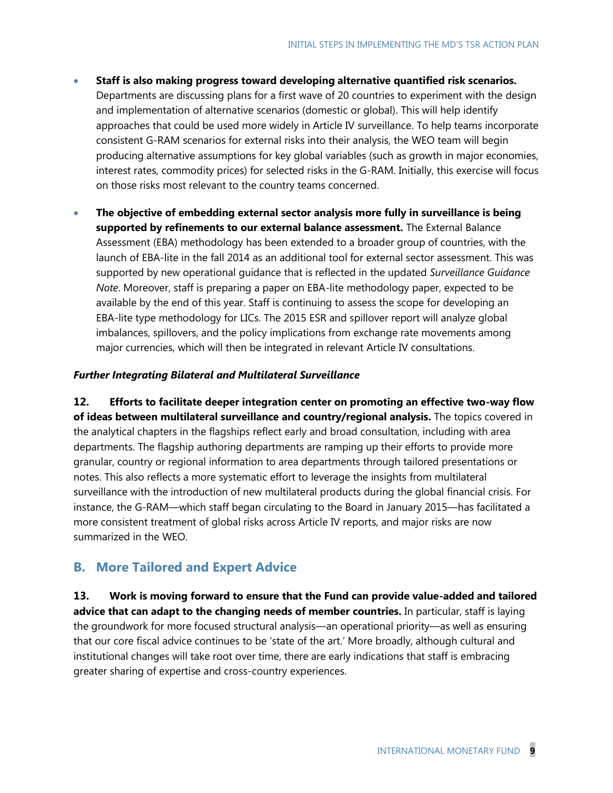- **Staff is also making progress toward developing alternative quantified risk scenarios.** Departments are discussing plans for a first wave of 20 countries to experiment with the design and implementation of alternative scenarios (domestic or global). This will help identify approaches that could be used more widely in Article IV surveillance. To help teams incorporate consistent G-RAM scenarios for external risks into their analysis, the WEO team will begin producing alternative assumptions for key global variables (such as growth in major economies, interest rates, commodity prices) for selected risks in the G-RAM. Initially, this exercise will focus on those risks most relevant to the country teams concerned.
- **The objective of embedding external sector analysis more fully in surveillance is being supported by refinements to our external balance assessment.** The External Balance Assessment (EBA) methodology has been extended to a broader group of countries, with the launch of EBA-lite in the fall 2014 as an additional tool for external sector assessment. This was supported by new operational guidance that is reflected in the updated *Surveillance Guidance Note*. Moreover, staff is preparing a paper on EBA-lite methodology paper, expected to be available by the end of this year. Staff is continuing to assess the scope for developing an EBA-lite type methodology for LICs. The 2015 ESR and spillover report will analyze global imbalances, spillovers, and the policy implications from exchange rate movements among major currencies, which will then be integrated in relevant Article IV consultations.

#### *Further Integrating Bilateral and Multilateral Surveillance*

**12. Efforts to facilitate deeper integration center on promoting an effective two-way flow of ideas between multilateral surveillance and country/regional analysis.** The topics covered in the analytical chapters in the flagships reflect early and broad consultation, including with area departments. The flagship authoring departments are ramping up their efforts to provide more granular, country or regional information to area departments through tailored presentations or notes. This also reflects a more systematic effort to leverage the insights from multilateral surveillance with the introduction of new multilateral products during the global financial crisis. For instance, the G-RAM—which staff began circulating to the Board in January 2015—has facilitated a more consistent treatment of global risks across Article IV reports, and major risks are now summarized in the WEO.

### **B. More Tailored and Expert Advice**

**13. Work is moving forward to ensure that the Fund can provide value-added and tailored advice that can adapt to the changing needs of member countries.** In particular, staff is laying the groundwork for more focused structural analysis—an operational priority—as well as ensuring that our core fiscal advice continues to be 'state of the art.' More broadly, although cultural and institutional changes will take root over time, there are early indications that staff is embracing greater sharing of expertise and cross-country experiences.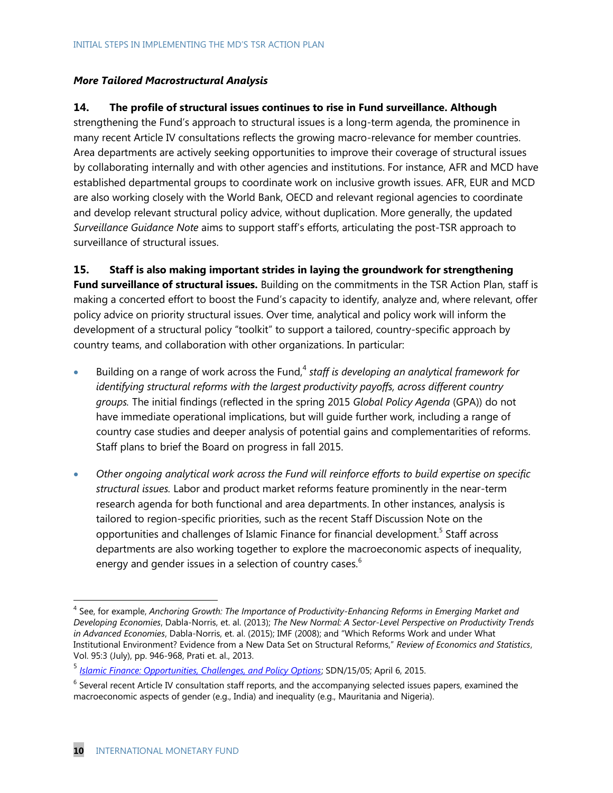#### *More Tailored Macrostructural Analysis*

#### **14. The profile of structural issues continues to rise in Fund surveillance. Although**

strengthening the Fund's approach to structural issues is a long-term agenda, the prominence in many recent Article IV consultations reflects the growing macro-relevance for member countries. Area departments are actively seeking opportunities to improve their coverage of structural issues by collaborating internally and with other agencies and institutions. For instance, AFR and MCD have established departmental groups to coordinate work on inclusive growth issues. AFR, EUR and MCD are also working closely with the World Bank, OECD and relevant regional agencies to coordinate and develop relevant structural policy advice, without duplication. More generally, the updated *Surveillance Guidance Note* aims to support staff's efforts, articulating the post-TSR approach to surveillance of structural issues.

**15. Staff is also making important strides in laying the groundwork for strengthening**

**Fund surveillance of structural issues.** Building on the commitments in the TSR Action Plan, staff is making a concerted effort to boost the Fund's capacity to identify, analyze and, where relevant, offer policy advice on priority structural issues. Over time, analytical and policy work will inform the development of a structural policy "toolkit" to support a tailored, country-specific approach by country teams, and collaboration with other organizations. In particular:

- Building on a range of work across the Fund,<sup>4</sup> staff is developing an analytical framework for *identifying structural reforms with the largest productivity payoffs, across different country groups.* The initial findings (reflected in the spring 2015 *Global Policy Agenda* (GPA)) do not have immediate operational implications, but will guide further work, including a range of country case studies and deeper analysis of potential gains and complementarities of reforms. Staff plans to brief the Board on progress in fall 2015.
- *Other ongoing analytical work across the Fund will reinforce efforts to build expertise on specific structural issues.* Labor and product market reforms feature prominently in the near-term research agenda for both functional and area departments. In other instances, analysis is tailored to region-specific priorities, such as the recent Staff Discussion Note on the opportunities and challenges of Islamic Finance for financial development.<sup>5</sup> Staff across departments are also working together to explore the macroeconomic aspects of inequality, energy and gender issues in a selection of country cases. $<sup>6</sup>$ </sup>

 $\overline{a}$ 

<sup>4</sup> See, for example, *Anchoring Growth: The Importance of Productivity-Enhancing Reforms in Emerging Market and Developing Economies*, Dabla-Norris, et. al. (2013); *The New Normal: A Sector-Level Perspective on Productivity Trends in Advanced Economies*, Dabla-Norris, et. al. (2015); IMF (2008); and "Which Reforms Work and under What Institutional Environment? Evidence from a New Data Set on Structural Reforms," *Review of Economics and Statistics*, Vol. 95:3 (July), pp. 946-968, Prati et. al., 2013.

<sup>5</sup> *[Islamic Finance: Opportunities, Challenges, and Policy Options](http://www.imf.org/external/pubs/ft/sdn/2015/sdn1505.pdf)*; SDN/15/05; April 6, 2015.

 $6$  Several recent Article IV consultation staff reports, and the accompanying selected issues papers, examined the macroeconomic aspects of gender (e.g., India) and inequality (e.g., Mauritania and Nigeria).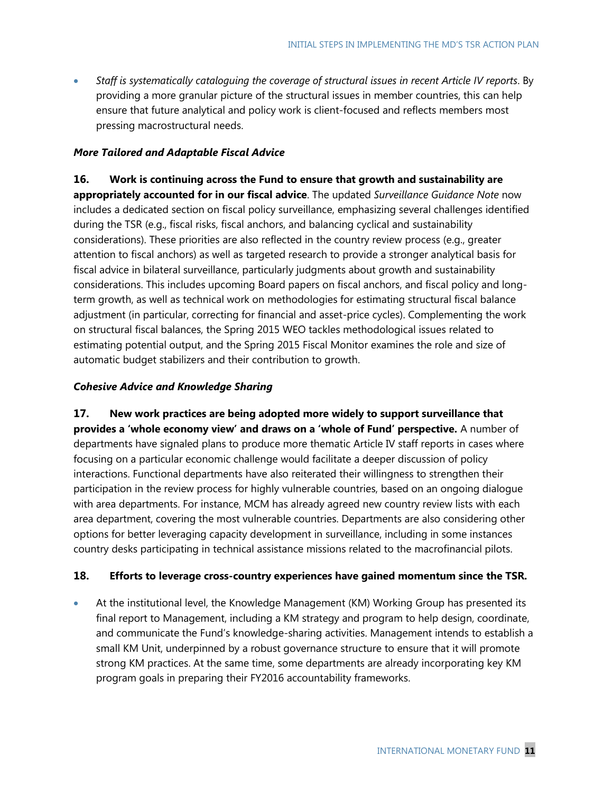*Staff is systematically cataloguing the coverage of structural issues in recent Article IV reports*. By providing a more granular picture of the structural issues in member countries, this can help ensure that future analytical and policy work is client-focused and reflects members most pressing macrostructural needs.

#### *More Tailored and Adaptable Fiscal Advice*

**16. Work is continuing across the Fund to ensure that growth and sustainability are**

**appropriately accounted for in our fiscal advice**. The updated *Surveillance Guidance Note* now includes a dedicated section on fiscal policy surveillance, emphasizing several challenges identified during the TSR (e.g., fiscal risks, fiscal anchors, and balancing cyclical and sustainability considerations). These priorities are also reflected in the country review process (e.g., greater attention to fiscal anchors) as well as targeted research to provide a stronger analytical basis for fiscal advice in bilateral surveillance, particularly judgments about growth and sustainability considerations. This includes upcoming Board papers on fiscal anchors, and fiscal policy and longterm growth, as well as technical work on methodologies for estimating structural fiscal balance adjustment (in particular, correcting for financial and asset-price cycles). Complementing the work on structural fiscal balances, the Spring 2015 WEO tackles methodological issues related to estimating potential output, and the Spring 2015 Fiscal Monitor examines the role and size of automatic budget stabilizers and their contribution to growth.

#### *Cohesive Advice and Knowledge Sharing*

**17. New work practices are being adopted more widely to support surveillance that provides a 'whole economy view' and draws on a 'whole of Fund' perspective.** A number of departments have signaled plans to produce more thematic Article IV staff reports in cases where focusing on a particular economic challenge would facilitate a deeper discussion of policy interactions. Functional departments have also reiterated their willingness to strengthen their participation in the review process for highly vulnerable countries, based on an ongoing dialogue with area departments. For instance, MCM has already agreed new country review lists with each area department, covering the most vulnerable countries. Departments are also considering other options for better leveraging capacity development in surveillance, including in some instances country desks participating in technical assistance missions related to the macrofinancial pilots.

#### **18. Efforts to leverage cross-country experiences have gained momentum since the TSR.**

 At the institutional level, the Knowledge Management (KM) Working Group has presented its final report to Management, including a KM strategy and program to help design, coordinate, and communicate the Fund's knowledge-sharing activities. Management intends to establish a small KM Unit, underpinned by a robust governance structure to ensure that it will promote strong KM practices. At the same time, some departments are already incorporating key KM program goals in preparing their FY2016 accountability frameworks.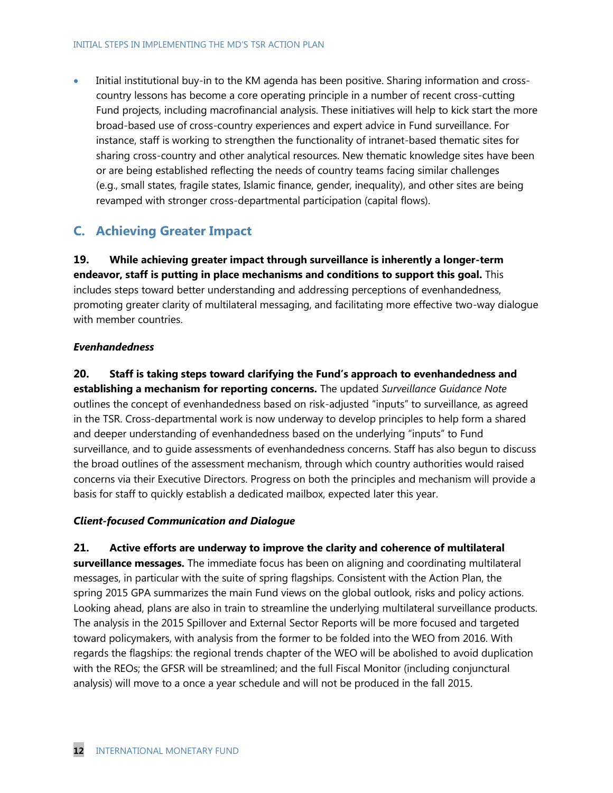Initial institutional buy-in to the KM agenda has been positive. Sharing information and crosscountry lessons has become a core operating principle in a number of recent cross-cutting Fund projects, including macrofinancial analysis. These initiatives will help to kick start the more broad-based use of cross-country experiences and expert advice in Fund surveillance. For instance, staff is working to strengthen the functionality of intranet-based thematic sites for sharing cross-country and other analytical resources. New thematic knowledge sites have been or are being established reflecting the needs of country teams facing similar challenges (e.g., small states, fragile states, Islamic finance, gender, inequality), and other sites are being revamped with stronger cross-departmental participation (capital flows).

### **C. Achieving Greater Impact**

**19. While achieving greater impact through surveillance is inherently a longer-term endeavor, staff is putting in place mechanisms and conditions to support this goal.** This includes steps toward better understanding and addressing perceptions of evenhandedness, promoting greater clarity of multilateral messaging, and facilitating more effective two-way dialogue with member countries.

#### *Evenhandedness*

**20. Staff is taking steps toward clarifying the Fund's approach to evenhandedness and establishing a mechanism for reporting concerns.** The updated *Surveillance Guidance Note* outlines the concept of evenhandedness based on risk-adjusted "inputs" to surveillance, as agreed in the TSR. Cross-departmental work is now underway to develop principles to help form a shared and deeper understanding of evenhandedness based on the underlying "inputs" to Fund surveillance, and to guide assessments of evenhandedness concerns. Staff has also begun to discuss the broad outlines of the assessment mechanism, through which country authorities would raised concerns via their Executive Directors. Progress on both the principles and mechanism will provide a basis for staff to quickly establish a dedicated mailbox, expected later this year.

### *Client-focused Communication and Dialogue*

**21. Active efforts are underway to improve the clarity and coherence of multilateral surveillance messages.** The immediate focus has been on aligning and coordinating multilateral messages, in particular with the suite of spring flagships. Consistent with the Action Plan, the spring 2015 GPA summarizes the main Fund views on the global outlook, risks and policy actions. Looking ahead, plans are also in train to streamline the underlying multilateral surveillance products. The analysis in the 2015 Spillover and External Sector Reports will be more focused and targeted toward policymakers, with analysis from the former to be folded into the WEO from 2016. With regards the flagships: the regional trends chapter of the WEO will be abolished to avoid duplication with the REOs; the GFSR will be streamlined; and the full Fiscal Monitor (including conjunctural analysis) will move to a once a year schedule and will not be produced in the fall 2015.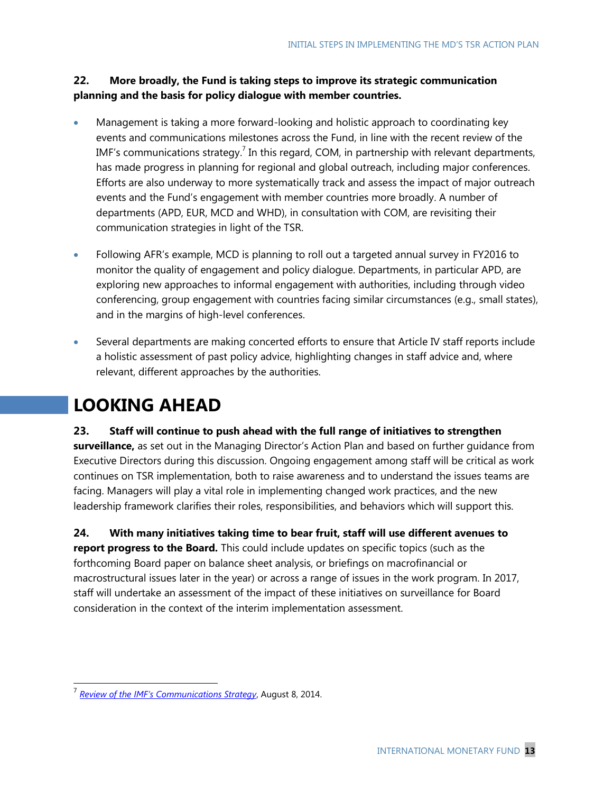### **22. More broadly, the Fund is taking steps to improve its strategic communication planning and the basis for policy dialogue with member countries.**

- Management is taking a more forward-looking and holistic approach to coordinating key events and communications milestones across the Fund, in line with the recent review of the IMF's communications strategy.<sup>7</sup> In this regard, COM, in partnership with relevant departments, has made progress in planning for regional and global outreach, including major conferences. Efforts are also underway to more systematically track and assess the impact of major outreach events and the Fund's engagement with member countries more broadly. A number of departments (APD, EUR, MCD and WHD), in consultation with COM, are revisiting their communication strategies in light of the TSR.
- Following AFR's example, MCD is planning to roll out a targeted annual survey in FY2016 to monitor the quality of engagement and policy dialogue. Departments, in particular APD, are exploring new approaches to informal engagement with authorities, including through video conferencing, group engagement with countries facing similar circumstances (e.g., small states), and in the margins of high-level conferences.
- Several departments are making concerted efforts to ensure that Article IV staff reports include a holistic assessment of past policy advice, highlighting changes in staff advice and, where relevant, different approaches by the authorities.

# **LOOKING AHEAD**

### **23. Staff will continue to push ahead with the full range of initiatives to strengthen**

**surveillance,** as set out in the Managing Director's Action Plan and based on further guidance from Executive Directors during this discussion. Ongoing engagement among staff will be critical as work continues on TSR implementation, both to raise awareness and to understand the issues teams are facing. Managers will play a vital role in implementing changed work practices, and the new leadership framework clarifies their roles, responsibilities, and behaviors which will support this.

**24. With many initiatives taking time to bear fruit, staff will use different avenues to report progress to the Board.** This could include updates on specific topics (such as the forthcoming Board paper on balance sheet analysis, or briefings on macrofinancial or macrostructural issues later in the year) or across a range of issues in the work program. In 2017, staff will undertake an assessment of the impact of these initiatives on surveillance for Board consideration in the context of the interim implementation assessment.

 7 *[Review of the IMF's Communications Strategy](http://www.imf.org/external/np/pp/eng/2014/063014.pdf)*, August 8, 2014.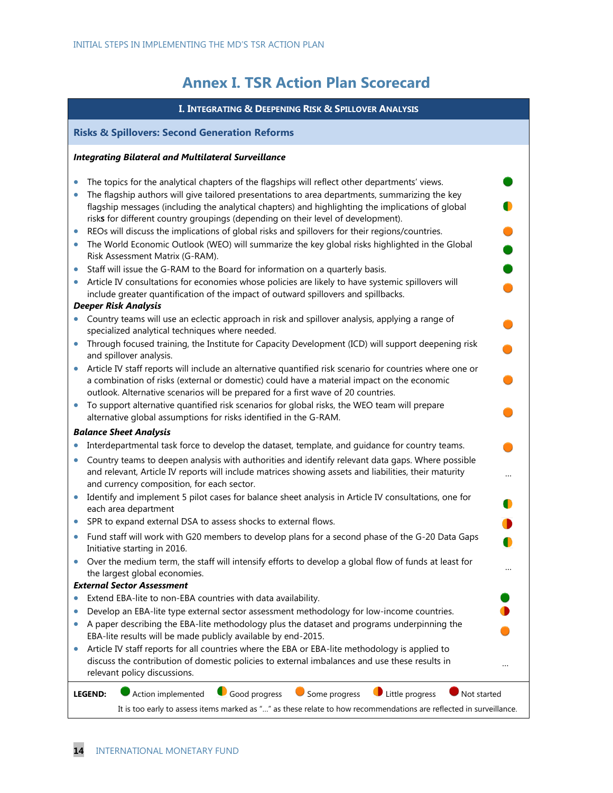## **Annex I. TSR Action Plan Scorecard**

|           | I. INTEGRATING & DEEPENING RISK & SPILLOVER ANALYSIS                                                                                                                                                                                                                                        |  |  |  |  |
|-----------|---------------------------------------------------------------------------------------------------------------------------------------------------------------------------------------------------------------------------------------------------------------------------------------------|--|--|--|--|
|           | <b>Risks &amp; Spillovers: Second Generation Reforms</b>                                                                                                                                                                                                                                    |  |  |  |  |
|           | <b>Integrating Bilateral and Multilateral Surveillance</b>                                                                                                                                                                                                                                  |  |  |  |  |
|           | The topics for the analytical chapters of the flagships will reflect other departments' views.                                                                                                                                                                                              |  |  |  |  |
|           | The flagship authors will give tailored presentations to area departments, summarizing the key<br>flagship messages (including the analytical chapters) and highlighting the implications of global<br>risks for different country groupings (depending on their level of development).     |  |  |  |  |
| $\bullet$ | REOs will discuss the implications of global risks and spillovers for their regions/countries.                                                                                                                                                                                              |  |  |  |  |
|           | The World Economic Outlook (WEO) will summarize the key global risks highlighted in the Global<br>Risk Assessment Matrix (G-RAM).                                                                                                                                                           |  |  |  |  |
|           | Staff will issue the G-RAM to the Board for information on a quarterly basis.                                                                                                                                                                                                               |  |  |  |  |
|           | Article IV consultations for economies whose policies are likely to have systemic spillovers will<br>include greater quantification of the impact of outward spillovers and spillbacks.                                                                                                     |  |  |  |  |
| $\bullet$ | <b>Deeper Risk Analysis</b><br>Country teams will use an eclectic approach in risk and spillover analysis, applying a range of<br>specialized analytical techniques where needed.                                                                                                           |  |  |  |  |
|           | Through focused training, the Institute for Capacity Development (ICD) will support deepening risk<br>and spillover analysis.                                                                                                                                                               |  |  |  |  |
|           | Article IV staff reports will include an alternative quantified risk scenario for countries where one or<br>a combination of risks (external or domestic) could have a material impact on the economic<br>outlook. Alternative scenarios will be prepared for a first wave of 20 countries. |  |  |  |  |
|           | To support alternative quantified risk scenarios for global risks, the WEO team will prepare<br>alternative global assumptions for risks identified in the G-RAM.                                                                                                                           |  |  |  |  |
|           | <b>Balance Sheet Analysis</b>                                                                                                                                                                                                                                                               |  |  |  |  |
| $\bullet$ | Interdepartmental task force to develop the dataset, template, and guidance for country teams.                                                                                                                                                                                              |  |  |  |  |
|           | Country teams to deepen analysis with authorities and identify relevant data gaps. Where possible<br>and relevant, Article IV reports will include matrices showing assets and liabilities, their maturity<br>and currency composition, for each sector.                                    |  |  |  |  |
|           | Identify and implement 5 pilot cases for balance sheet analysis in Article IV consultations, one for<br>each area department                                                                                                                                                                |  |  |  |  |
|           | SPR to expand external DSA to assess shocks to external flows.                                                                                                                                                                                                                              |  |  |  |  |
|           | Fund staff will work with G20 members to develop plans for a second phase of the G-20 Data Gaps<br>Initiative starting in 2016.                                                                                                                                                             |  |  |  |  |
|           | Over the medium term, the staff will intensify efforts to develop a global flow of funds at least for<br>the largest global economies.                                                                                                                                                      |  |  |  |  |
|           | <b>External Sector Assessment</b>                                                                                                                                                                                                                                                           |  |  |  |  |
|           | Extend EBA-lite to non-EBA countries with data availability.<br>Develop an EBA-lite type external sector assessment methodology for low-income countries.                                                                                                                                   |  |  |  |  |
|           | A paper describing the EBA-lite methodology plus the dataset and programs underpinning the<br>EBA-lite results will be made publicly available by end-2015.                                                                                                                                 |  |  |  |  |
| $\bullet$ | Article IV staff reports for all countries where the EBA or EBA-lite methodology is applied to<br>discuss the contribution of domestic policies to external imbalances and use these results in<br>relevant policy discussions.                                                             |  |  |  |  |
|           | Good progress<br>Some progress<br>Little progress<br>Action implemented<br>Not started<br><b>LEGEND:</b><br>It is too early to assess items marked as "" as these relate to how recommendations are reflected in surveillance.                                                              |  |  |  |  |
|           |                                                                                                                                                                                                                                                                                             |  |  |  |  |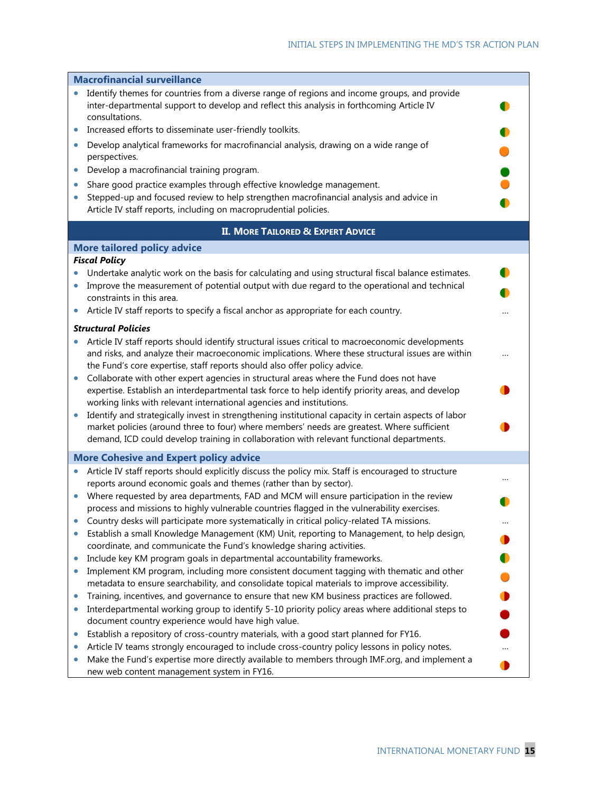|           | <b>Macrofinancial surveillance</b>                                                                                                                                                                                                                                                               |  |
|-----------|--------------------------------------------------------------------------------------------------------------------------------------------------------------------------------------------------------------------------------------------------------------------------------------------------|--|
|           | Identify themes for countries from a diverse range of regions and income groups, and provide<br>inter-departmental support to develop and reflect this analysis in forthcoming Article IV<br>consultations.                                                                                      |  |
|           | Increased efforts to disseminate user-friendly toolkits.                                                                                                                                                                                                                                         |  |
| $\bullet$ | Develop analytical frameworks for macrofinancial analysis, drawing on a wide range of<br>perspectives.                                                                                                                                                                                           |  |
| $\bullet$ | Develop a macrofinancial training program.                                                                                                                                                                                                                                                       |  |
| $\bullet$ | Share good practice examples through effective knowledge management.                                                                                                                                                                                                                             |  |
| $\bullet$ | Stepped-up and focused review to help strengthen macrofinancial analysis and advice in                                                                                                                                                                                                           |  |
|           | Article IV staff reports, including on macroprudential policies.                                                                                                                                                                                                                                 |  |
|           | <b>II. MORE TAILORED &amp; EXPERT ADVICE</b>                                                                                                                                                                                                                                                     |  |
|           | <b>More tailored policy advice</b>                                                                                                                                                                                                                                                               |  |
|           | <b>Fiscal Policy</b>                                                                                                                                                                                                                                                                             |  |
|           | Undertake analytic work on the basis for calculating and using structural fiscal balance estimates.                                                                                                                                                                                              |  |
|           | Improve the measurement of potential output with due regard to the operational and technical                                                                                                                                                                                                     |  |
|           | constraints in this area.                                                                                                                                                                                                                                                                        |  |
|           | Article IV staff reports to specify a fiscal anchor as appropriate for each country.                                                                                                                                                                                                             |  |
|           | <b>Structural Policies</b>                                                                                                                                                                                                                                                                       |  |
|           | Article IV staff reports should identify structural issues critical to macroeconomic developments<br>and risks, and analyze their macroeconomic implications. Where these structural issues are within<br>the Fund's core expertise, staff reports should also offer policy advice.              |  |
| $\bullet$ | Collaborate with other expert agencies in structural areas where the Fund does not have<br>expertise. Establish an interdepartmental task force to help identify priority areas, and develop<br>working links with relevant international agencies and institutions.                             |  |
|           | Identify and strategically invest in strengthening institutional capacity in certain aspects of labor<br>market policies (around three to four) where members' needs are greatest. Where sufficient<br>demand, ICD could develop training in collaboration with relevant functional departments. |  |
|           | <b>More Cohesive and Expert policy advice</b>                                                                                                                                                                                                                                                    |  |
| ۰         | Article IV staff reports should explicitly discuss the policy mix. Staff is encouraged to structure<br>reports around economic goals and themes (rather than by sector).                                                                                                                         |  |
| $\bullet$ | Where requested by area departments, FAD and MCM will ensure participation in the review<br>process and missions to highly vulnerable countries flagged in the vulnerability exercises.                                                                                                          |  |
|           | • Country desks will participate more systematically in critical policy-related TA missions.                                                                                                                                                                                                     |  |
| $\bullet$ | Establish a small Knowledge Management (KM) Unit, reporting to Management, to help design,<br>coordinate, and communicate the Fund's knowledge sharing activities.                                                                                                                               |  |
| ۰         | Include key KM program goals in departmental accountability frameworks.                                                                                                                                                                                                                          |  |
| $\bullet$ | Implement KM program, including more consistent document tagging with thematic and other<br>metadata to ensure searchability, and consolidate topical materials to improve accessibility.                                                                                                        |  |
| 0         | Training, incentives, and governance to ensure that new KM business practices are followed.                                                                                                                                                                                                      |  |
| $\bullet$ | Interdepartmental working group to identify 5-10 priority policy areas where additional steps to<br>document country experience would have high value.                                                                                                                                           |  |
| $\bullet$ | Establish a repository of cross-country materials, with a good start planned for FY16.                                                                                                                                                                                                           |  |
| ۰         | Article IV teams strongly encouraged to include cross-country policy lessons in policy notes.                                                                                                                                                                                                    |  |
| $\bullet$ | Make the Fund's expertise more directly available to members through IMF.org, and implement a<br>new web content management system in FY16.                                                                                                                                                      |  |